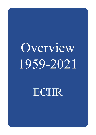# Overview 1959-2021

ECHR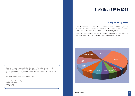## **Statistics 1959 to 2021**

### **Judgments by State**

Since it was established in 1959 the Court has delivered 24,511 judgments. Around 40% of these concerned 3 member States of the Council of Europe: Turkey (3,820), the Russian Federation (3,116) and Italy (2,466).

In 84% of the judgments it has delivered since 1959, the Court has found at least one violation of the Convention by the respondent State.



This document has been prepared by the Public Relations Unit, and does not bind the Court. It is intended to provide basic general information about the way the Court works. For more detailed information, please refer to documents issued by the Registry, available on the Court's website: www.echr.coe.int.

© European Court of Human Rights, February 2022

European Court of Human Rights Public Relations Unit Council of Europe F-67075 Strasbourg cedex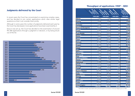### **Throughput of applications 1959\* - 2021**

### **Judgments delivered by the Court**

In recent years the Court has concentrated on examining complex cases, and has decided to join certain applications which raise similar legal questions so that it can consider them jointly.

Although in some years the number of judgments delivered each year by the Court has decreased, more applications have been examined by it.

Since it was set up, the Court has decided on the examination of around 957,300 applications through a judgment or decision, or by being struck out of the list.



| <b>Formotion</b>              | <b>Monday</b><br><b>Spoilchions</b> | <b>Architects</b><br>Monicolions<br>decision | <b>REGISTER</b><br><b>Charles Marking</b> | <b>SANGRIAN</b><br><b>CONTROL</b> |
|-------------------------------|-------------------------------------|----------------------------------------------|-------------------------------------------|-----------------------------------|
|                               | 1959-2021                           | 1959-2021                                    | 1959-2021                                 | 1959-2021                         |
| Albania                       | 1 591                               | 1 0 5 2                                      | 136                                       | 1 1 8 8                           |
| <b>Andorra</b>                | 109                                 | 98                                           | 9                                         | 107                               |
| Armenia                       | 4 0 7 8                             | 2 5 8 4                                      | 179                                       | 2763                              |
| <b>Austria</b>                | 8 9 5 8                             | 9 5 2 4                                      | 444                                       | 9968                              |
| Azerbaijan                    | 6978                                | 4 3 3 1                                      | 565                                       | 4896                              |
| <b>Belgium</b>                | 4884                                | 5 2 3 3                                      | 338                                       | 5 5 7 1                           |
| <b>Bosnia and Herzegovina</b> | 13 212                              | 11974                                        | 641                                       | 12 615                            |
| <b>Bulgaria</b>               | 18 5 15                             | 17092                                        | 942                                       | 18 034                            |
| Croatia                       | 17 491                              | 16 540                                       | 530                                       | 17<br>070                         |
| Cyprus                        | 348                                 | 175                                          | 112                                       | 287                               |
| Czech Republic                | 14 0 16                             | 13612                                        | 287                                       | 13899                             |
| <b>Denmark</b>                | 925                                 | 935                                          | 68                                        | 2 0 0 3                           |
| <b>Estonia</b>                | 3 807                               | 3682                                         | 82                                        | 3764                              |
| <b>Finland</b>                | 5890                                | 5 689                                        | 193                                       | 5882                              |
| <b>France</b>                 | 35 258                              | 33 064                                       | 1 2 4 3                                   | 34 307                            |
| Georgia                       | 6 489                               | 5834                                         | 139                                       | 5 973                             |
| Germany                       | 27 755                              | 31 4 26                                      | 400                                       | 31826                             |
| Greece                        | 10892                               | 8 1 5 6                                      | 348                                       | 9504                              |
| Hungary                       | 25 352                              | 23 7 7 5                                     | 931                                       | 24 706                            |
| <b>Iceland</b>                | 359                                 | 291                                          | 38                                        | 329                               |
| <b>Ireland</b>                | 1 0 8 5                             | 119<br>1                                     | 39                                        | 158<br>1                          |
| <b>Italy</b>                  | 50 538                              | 41<br>623                                    | 3468                                      | 45 091                            |
| Latvia                        | 5 4 9 6                             | 4 9 5 0                                      | 165                                       | 5 1 1 5                           |
| Liechtenstein                 | 184                                 | 175                                          | 10                                        | 185                               |
| Lithuania                     | 7 624                               | 7 1 5 7                                      | 280                                       | 7 437                             |
| Luxembourg                    | 724                                 | 715                                          | 51                                        | 766                               |
| Malta                         | 534                                 | 329                                          | 141                                       | 470                               |
| <b>Republic of Moldova</b>    | 15 940                              | 14 146                                       | 693                                       | 14839                             |
| Monaco                        | 120                                 | 104                                          | 6                                         | 110                               |
| <b>Montenearo</b>             | 3 5 9 4                             | 3 2 7 6                                      | 93                                        | 3 3 6 9                           |
| <b>Netherlands</b>            | 11 593                              | 11 536                                       | 203                                       | 11739                             |
| <b>North Macedonia</b>        | 6518                                | 5 9 9 1                                      | 204                                       | 6 1 9 5                           |
| Norway                        | 2 131                               | 2 0 4 8                                      | 75                                        | 2 1 2 3                           |
| Poland                        | 75 599                              | 72 164                                       | 1 2 4 6                                   | 73 410                            |
| Portugal                      | 4 6 6 8                             | 3712                                         | 544                                       | 4 2 5 6                           |
| Romania                       | 87 964                              | 78 572                                       | 3732                                      | 82 304                            |
| <b>Russian Federation</b>     | 191 965                             | 167 488                                      | 7214                                      | 174 702                           |
| <b>San Marino</b>             | 136                                 | 95                                           | 25                                        | 120                               |
| Serbia                        | 34 858                              | 32 786                                       | 880                                       | 33 666                            |
| <b>Slovak Republic</b>        | 9 576                               | 8910                                         | 448                                       | 9 3 5 8                           |
| Slovenia                      | 10 136                              | 9634                                         | 392                                       | 10 0 26                           |
| <b>Spain</b>                  | 14 099                              | 13742                                        | 278                                       | 14 0 20                           |
| Sweden                        | 10 554                              | 10481                                        | 155                                       | 10 636                            |
| <b>Switzerland</b>            | 7908                                | 7794                                         | 221                                       | 8015                              |
| Turkey                        | 129 040                             | 107 527                                      | 6498                                      | 114 025                           |
| <b>Ukraine</b>                | 104 783                             | 74 731                                       | 18599                                     | 93 330                            |
| <b>United Kingdom</b>         | 23 197                              | 23 296                                       | 1869                                      | 25 165                            |
| <b>TOTAL</b>                  | 1 019 471                           | 901 168                                      | 56 154                                    | 957 322                           |

\* This table includes cases dealt with by the European Commission of Human Rights prior to 1959.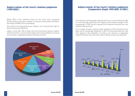### **Subject-matter of the Court's violation judgments (1959-2021)**

Nearly 40% of the violations found by the Court have concerned Article 6 of the Convention, whether on account of the fairness (16.55%) or the length (18.28%) of the proceedings.

The second most frequently found violation has concerned the right to liberty and security (Article 5).

Lastly, in more than 16% of cases, the Court has found a serious violation of the Convention, concerning the right to life or the prohibition of torture and inhuman or degrading treatment (Articles 2 and 3).



### **Subject-matter of the Court's violation judgments (Comparative Graph 1959-2021 & 2021)**

The violation most frequently found by the Court concerns Article 6 (right to a fair hearing), particularly with regard to the excessive length of the proceedings. In 2021 almost a quarter of all violations found by the Court related to this provision.

For a number of years, however, other violations of the Convention have been found increasingly frequently. In 2021 this was particularly the case with regard to the prohibition of torture and inhuman or degrading treatment (Article 3) as well as the right to liberty and security (Article 5).

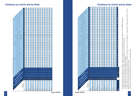



### 9 Overview 1959-2021 Overview 1959-2021

# **Violations by Article and by State** 3. Cases where the Court found there would be a violation of Article 2 and/or 3 if the applicant is removed to a State where he/she is at risk.

4. Seventy-nine judgments are against more than one respondent State.

1. Other judgments: just satisfaction, revision, preliminary objections and lack of jurisdiction.

2. Figures in this column may include conditional violations.

Figures in this column are available only from 2013.

8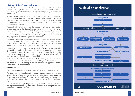### **History of the Court's reforms**

Since the Court was set up in 1959, the member States of the Council of Europe have adopted a number of protocols to the European Convention on Human Rights with the aim of improving and strengthening its supervisory mechanism.

In 1998 Protocol No. 11 thus replaced the original two-tier structure, comprising the Commission and the Court on Human Rights, sitting a few days per month, by a single full-time Court. This change put an end to the Commission's filtering function, enabling applicants to bring their cases directly before the Court.

A second major reform to address the considerable increase in the number of applications and the Court's backlog was brought about by the entry into force of Protocol No. 14 in 2010. This Protocol introduced new judicial formations for the simplest cases and established a new admissibility criterion (existence of a "significant disadvantage" for the applicant); it also extended the judges' term of office to 9 years (not renewable).

Since 2010, several high-level conferences on the future of the Court have been convened to identify methods of guaranteeing the long-term effectiveness of the Convention system. These conferences have, in particular, led to the adoption of Protocols Nos. 15 and 16 to the Convention.

Protocol No. 15, adopted in 2013, inserted references to the principle of subsidiarity and the doctrine of the margin of appreciation into the Convention's preamble; it also reduced from 6 to 4 months the time within which an application must be lodged with the Court after a final national decision. It entered into force on 1 August 2021.

Protocol No. 16 entered into force in 2018, allowing the highest courts and tribunals of a State Party to ask the Court to give advisory opinions on questions of principle relating to the interpretation or application of the Convention rights and freedoms.

### Working methods

The Court has reformed its working methods in order to increase its efficiency.

The Court has developed the pilot-judgments procedure to cater for the massive influx of applications concerning similar issues, also known as "systemic or structural issues" – i.e. those that arise from the non-conformity of domestic law with the Convention as regards the exercise of a particular right.

The Court has also adopted a priority policy so as to take into consideration the importance and urgency of the issues raised when deciding the order in which cases are to be dealt with.

# The life of an application

### Proceedings at national level Beginning of the dispute Is before the national courts **Exhaustion of domestic court** Decision of the highest domestic court Proceedings before the European Court of Human Rights Application to the Court **Admissibility criteria** month deadline for applyin Exhaustion of domestic plaints to be based on Applicant has suffered a significant disadvantage to the Court remedies the European Convention (from the final domestic judicial decision) Initial analysis Admissibility decision ndmissibility decision on of the admissibility and meri $\,$ Judgment finding a violation Judgment finding no violation  $R_{\text{est}}$  for re-examination of the case Request accepted Request dismissed = case conluded = referral to the Grand Chamber Judgment finding no violation Execution of judgment Transmission of the case file to the Committee of Ministers Obligations of the State in question Payment of compensation Adoption of general measures Adoption of individual measures tution, reopening of the proceedin (just satisfaction) (amendment to the legislation...) Examination by the Committee of Ministers Satisfactory execution Unsatisfactory execution  $\epsilon$  Final resolution =  $\cos \epsilon$  $\overline{\mathcal{C}}$ www.echr.coe.int

### 10 **Overview 1959-2021** Dverview 1959-2021 Dverview 1959-2021 Dverview 1959-2021 Dverview 1959-2021 Dverview 1959-2021 Dverview 1959-2021 Dverview 1959-2021 Dverview 1959-2021 Dverview 1959-2021 Dverview 1959-2021 Dverview